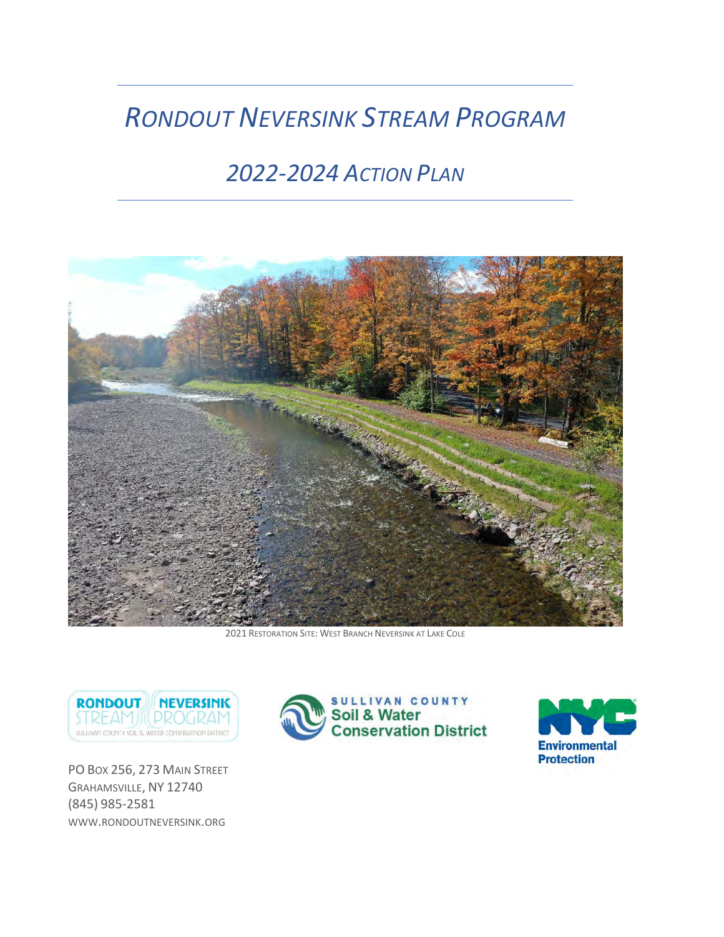# *RONDOUT NEVERSINK STREAM PROGRAM*

# *2022‐2024 ACTION PLAN*



2021 RESTORATION SITE: WEST BRANCH NEVERSINK AT LAKE COLE



PO Box 256, 273 MAIN STREET GRAHAMSVILLE, NY 12740 (845) 985‐2581 WWW.RONDOUTNEVERSINK.ORG



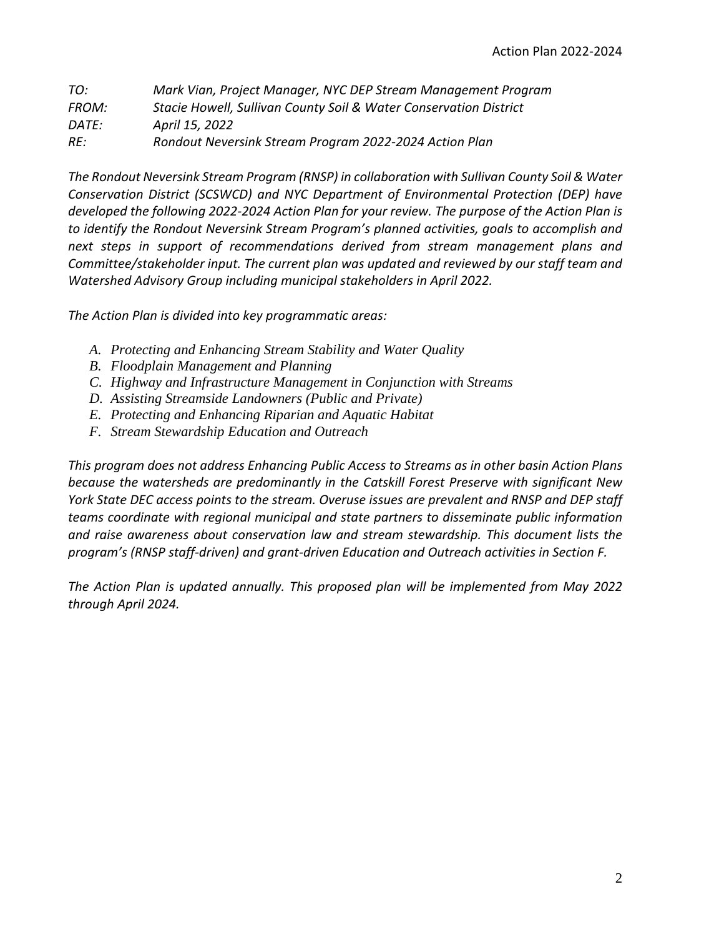| TO:   | Mark Vian, Project Manager, NYC DEP Stream Management Program     |
|-------|-------------------------------------------------------------------|
| FROM: | Stacie Howell, Sullivan County Soil & Water Conservation District |
| DATE: | April 15, 2022                                                    |
| RE:   | Rondout Neversink Stream Program 2022-2024 Action Plan            |

*The Rondout Neversink Stream Program (RNSP) in collaboration with Sullivan County Soil & Water Conservation District (SCSWCD) and NYC Department of Environmental Protection (DEP) have developed the following 2022‐2024 Action Plan for your review. The purpose of the Action Plan is to identify the Rondout Neversink Stream Program's planned activities, goals to accomplish and next steps in support of recommendations derived from stream management plans and Committee/stakeholder input. The current plan was updated and reviewed by our staff team and Watershed Advisory Group including municipal stakeholders in April 2022.* 

*The Action Plan is divided into key programmatic areas:* 

- *A. Protecting and Enhancing Stream Stability and Water Quality*
- *B. Floodplain Management and Planning*
- *C. Highway and Infrastructure Management in Conjunction with Streams*
- *D. Assisting Streamside Landowners (Public and Private)*
- *E. Protecting and Enhancing Riparian and Aquatic Habitat*
- *F. Stream Stewardship Education and Outreach*

*This program does not address Enhancing Public Access to Streams as in other basin Action Plans because the watersheds are predominantly in the Catskill Forest Preserve with significant New York State DEC access points to the stream. Overuse issues are prevalent and RNSP and DEP staff teams coordinate with regional municipal and state partners to disseminate public information and raise awareness about conservation law and stream stewardship. This document lists the program's (RNSP staff‐driven) and grant‐driven Education and Outreach activities in Section F.* 

*The Action Plan is updated annually. This proposed plan will be implemented from May 2022 through April 2024.*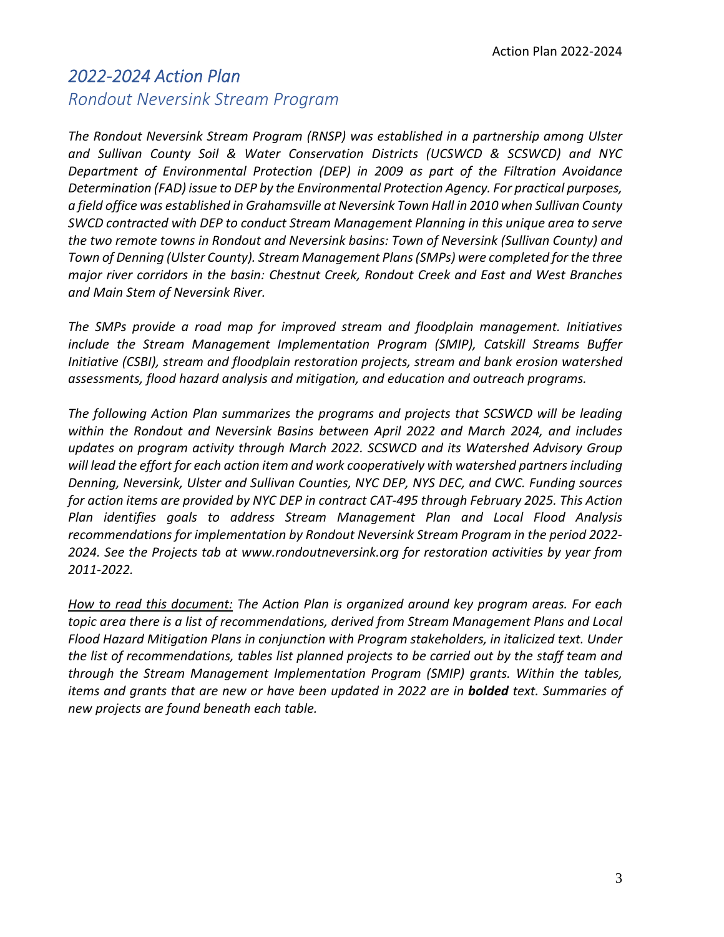### *2022‐2024 Action Plan Rondout Neversink Stream Program*

*The Rondout Neversink Stream Program (RNSP) was established in a partnership among Ulster and Sullivan County Soil & Water Conservation Districts (UCSWCD & SCSWCD) and NYC Department of Environmental Protection (DEP) in 2009 as part of the Filtration Avoidance Determination (FAD) issue to DEP by the Environmental Protection Agency. For practical purposes, a field office was established in Grahamsville at Neversink Town Hall in 2010 when Sullivan County SWCD contracted with DEP to conduct Stream Management Planning in this unique area to serve the two remote towns in Rondout and Neversink basins: Town of Neversink (Sullivan County) and Town of Denning (Ulster County). Stream Management Plans(SMPs) were completed for the three major river corridors in the basin: Chestnut Creek, Rondout Creek and East and West Branches and Main Stem of Neversink River.* 

*The SMPs provide a road map for improved stream and floodplain management. Initiatives include the Stream Management Implementation Program (SMIP), Catskill Streams Buffer Initiative (CSBI), stream and floodplain restoration projects, stream and bank erosion watershed assessments, flood hazard analysis and mitigation, and education and outreach programs.* 

*The following Action Plan summarizes the programs and projects that SCSWCD will be leading within the Rondout and Neversink Basins between April 2022 and March 2024, and includes updates on program activity through March 2022. SCSWCD and its Watershed Advisory Group will lead the effort for each action item and work cooperatively with watershed partnersincluding Denning, Neversink, Ulster and Sullivan Counties, NYC DEP, NYS DEC, and CWC. Funding sources for action items are provided by NYC DEP in contract CAT‐495 through February 2025. This Action Plan identifies goals to address Stream Management Plan and Local Flood Analysis recommendations for implementation by Rondout Neversink Stream Program in the period 2022‐ 2024. See the Projects tab at www.rondoutneversink.org for restoration activities by year from 2011‐2022.* 

*How to read this document: The Action Plan is organized around key program areas. For each topic area there is a list of recommendations, derived from Stream Management Plans and Local Flood Hazard Mitigation Plans in conjunction with Program stakeholders, in italicized text. Under the list of recommendations, tables list planned projects to be carried out by the staff team and through the Stream Management Implementation Program (SMIP) grants. Within the tables, items and grants that are new or have been updated in 2022 are in bolded text. Summaries of new projects are found beneath each table.*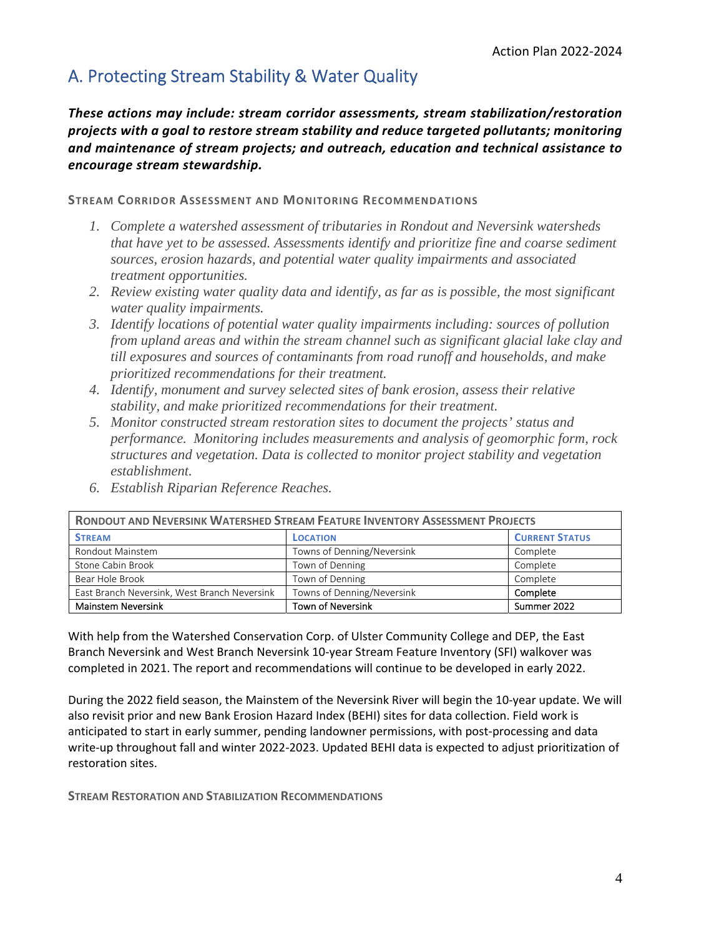## A. Protecting Stream Stability & Water Quality

*These actions may include: stream corridor assessments, stream stabilization/restoration projects with a goal to restore stream stability and reduce targeted pollutants; monitoring and maintenance of stream projects; and outreach, education and technical assistance to encourage stream stewardship.* 

**STREAM CORRIDOR ASSESSMENT AND MONITORING RECOMMENDATIONS**

- *1. Complete a watershed assessment of tributaries in Rondout and Neversink watersheds that have yet to be assessed. Assessments identify and prioritize fine and coarse sediment sources, erosion hazards, and potential water quality impairments and associated treatment opportunities.*
- *2. Review existing water quality data and identify, as far as is possible, the most significant water quality impairments.*
- *3. Identify locations of potential water quality impairments including: sources of pollution from upland areas and within the stream channel such as significant glacial lake clay and till exposures and sources of contaminants from road runoff and households, and make prioritized recommendations for their treatment.*
- *4. Identify, monument and survey selected sites of bank erosion, assess their relative stability, and make prioritized recommendations for their treatment.*
- *5. Monitor constructed stream restoration sites to document the projects' status and performance. Monitoring includes measurements and analysis of geomorphic form, rock structures and vegetation. Data is collected to monitor project stability and vegetation establishment.*

| <b>RONDOUT AND NEVERSINK WATERSHED STREAM FEATURE INVENTORY ASSESSMENT PROJECTS</b>    |                            |                       |  |  |
|----------------------------------------------------------------------------------------|----------------------------|-----------------------|--|--|
| <b>STREAM</b>                                                                          | <b>LOCATION</b>            | <b>CURRENT STATUS</b> |  |  |
| Rondout Mainstem                                                                       | Towns of Denning/Neversink | Complete              |  |  |
| Stone Cabin Brook                                                                      | Town of Denning            | Complete              |  |  |
| Bear Hole Brook                                                                        | Town of Denning            | Complete              |  |  |
| Towns of Denning/Neversink<br>East Branch Neversink, West Branch Neversink<br>Complete |                            |                       |  |  |
| <b>Town of Neversink</b><br><b>Mainstem Neversink</b><br>Summer 2022                   |                            |                       |  |  |

*6. Establish Riparian Reference Reaches.* 

With help from the Watershed Conservation Corp. of Ulster Community College and DEP, the East Branch Neversink and West Branch Neversink 10‐year Stream Feature Inventory (SFI) walkover was completed in 2021. The report and recommendations will continue to be developed in early 2022.

During the 2022 field season, the Mainstem of the Neversink River will begin the 10‐year update. We will also revisit prior and new Bank Erosion Hazard Index (BEHI) sites for data collection. Field work is anticipated to start in early summer, pending landowner permissions, with post-processing and data write-up throughout fall and winter 2022-2023. Updated BEHI data is expected to adjust prioritization of restoration sites.

**STREAM RESTORATION AND STABILIZATION RECOMMENDATIONS**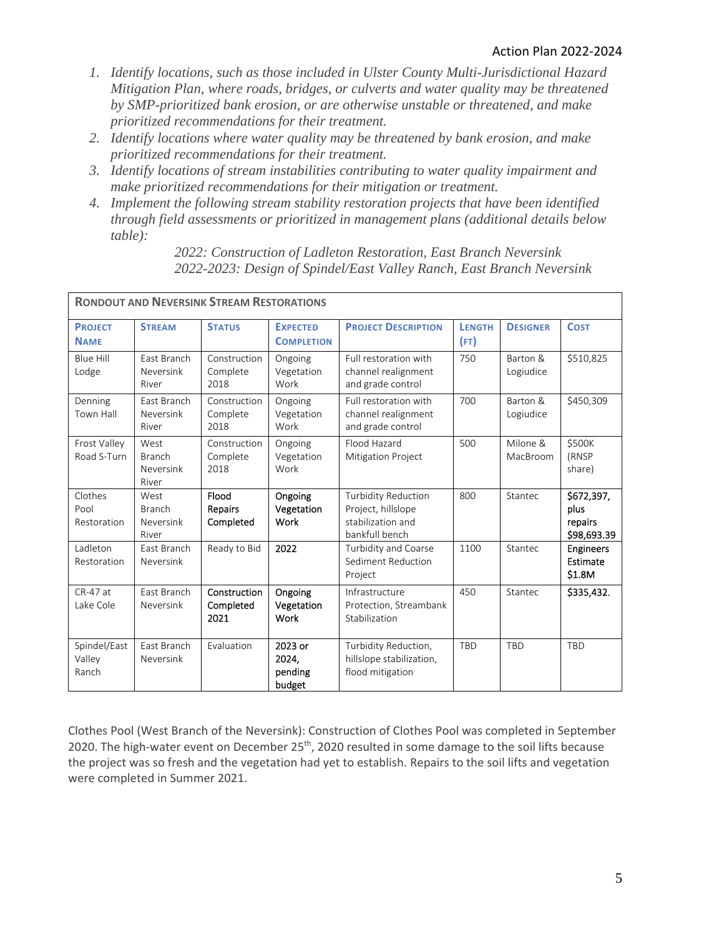- *1. Identify locations, such as those included in Ulster County Multi-Jurisdictional Hazard Mitigation Plan, where roads, bridges, or culverts and water quality may be threatened by SMP-prioritized bank erosion, or are otherwise unstable or threatened, and make prioritized recommendations for their treatment.*
- *2. Identify locations where water quality may be threatened by bank erosion, and make prioritized recommendations for their treatment.*
- *3. Identify locations of stream instabilities contributing to water quality impairment and make prioritized recommendations for their mitigation or treatment.*
- *4. Implement the following stream stability restoration projects that have been identified through field assessments or prioritized in management plans (additional details below table):*

| <b>RONDOUT AND NEVERSINK STREAM RESTORATIONS</b> |                                             |                                   |                                       |                                                                                         |                       |                       |                                              |
|--------------------------------------------------|---------------------------------------------|-----------------------------------|---------------------------------------|-----------------------------------------------------------------------------------------|-----------------------|-----------------------|----------------------------------------------|
| <b>PROJECT</b><br><b>NAME</b>                    | <b>STREAM</b>                               | <b>STATUS</b>                     | <b>EXPECTED</b><br><b>COMPLETION</b>  | <b>PROJECT DESCRIPTION</b>                                                              | <b>LENGTH</b><br>(FT) | <b>DESIGNER</b>       | <b>COST</b>                                  |
| <b>Blue Hill</b><br>Lodge                        | East Branch<br>Neversink<br>River           | Construction<br>Complete<br>2018  | Ongoing<br>Vegetation<br>Work         | Full restoration with<br>channel realignment<br>and grade control                       | 750                   | Barton &<br>Logiudice | \$510,825                                    |
| Denning<br>Town Hall                             | East Branch<br>Neversink<br>River           | Construction<br>Complete<br>2018  | Ongoing<br>Vegetation<br>Work         | Full restoration with<br>channel realignment<br>and grade control                       | 700                   | Barton &<br>Logiudice | \$450,309                                    |
| Frost Valley<br>Road S-Turn                      | West<br><b>Branch</b><br>Neversink<br>River | Construction<br>Complete<br>2018  | Ongoing<br>Vegetation<br>Work         | Flood Hazard<br><b>Mitigation Project</b>                                               | 500                   | Milone &<br>MacBroom  | \$500K<br>(RNSP<br>share)                    |
| Clothes<br>Pool<br>Restoration                   | West<br><b>Branch</b><br>Neversink<br>River | Flood<br>Repairs<br>Completed     | Ongoing<br>Vegetation<br>Work         | <b>Turbidity Reduction</b><br>Project, hillslope<br>stabilization and<br>bankfull bench | 800                   | Stantec               | \$672,397,<br>plus<br>repairs<br>\$98,693.39 |
| Ladleton<br>Restoration                          | East Branch<br>Neversink                    | Ready to Bid                      | 2022                                  | Turbidity and Coarse<br>Sediment Reduction<br>Project                                   | 1100                  | Stantec               | <b>Engineers</b><br>Estimate<br>\$1.8M       |
| $CR-47$ at<br>Lake Cole                          | East Branch<br>Neversink                    | Construction<br>Completed<br>2021 | Ongoing<br>Vegetation<br>Work         | Infrastructure<br>Protection, Streambank<br>Stabilization                               | 450                   | Stantec               | \$335,432.                                   |
| Spindel/East<br>Valley<br>Ranch                  | East Branch<br>Neversink                    | Evaluation                        | 2023 or<br>2024,<br>pending<br>budget | Turbidity Reduction,<br>hillslope stabilization,<br>flood mitigation                    | TBD                   | <b>TBD</b>            | <b>TBD</b>                                   |

*2022: Construction of Ladleton Restoration, East Branch Neversink 2022-2023: Design of Spindel/East Valley Ranch, East Branch Neversink* 

Clothes Pool (West Branch of the Neversink): Construction of Clothes Pool was completed in September 2020. The high-water event on December 25<sup>th</sup>, 2020 resulted in some damage to the soil lifts because the project was so fresh and the vegetation had yet to establish. Repairs to the soil lifts and vegetation were completed in Summer 2021.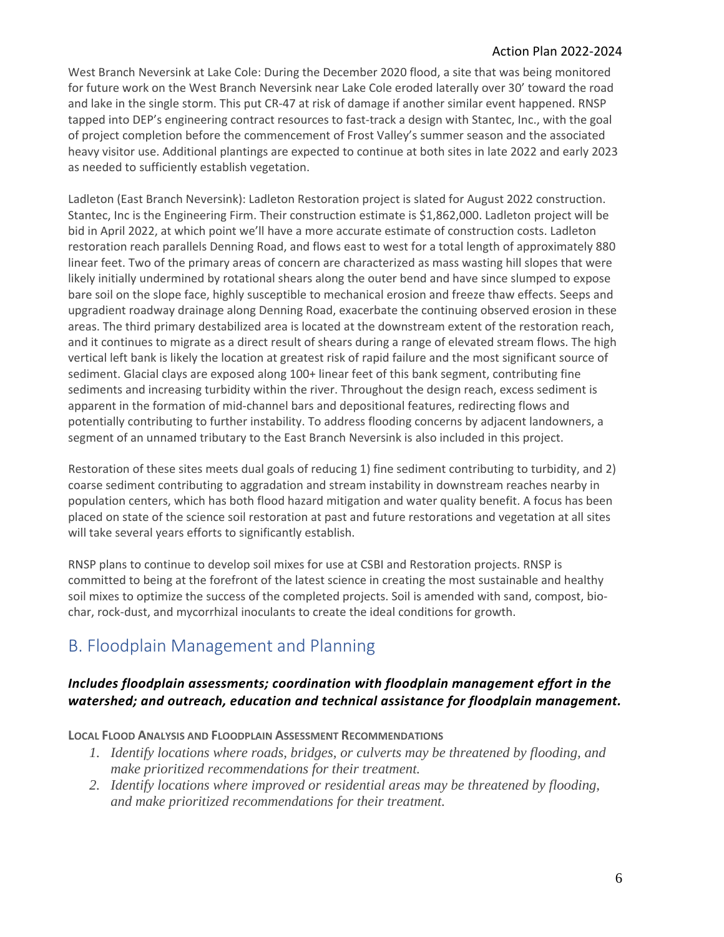### Action Plan 2022‐2024

West Branch Neversink at Lake Cole: During the December 2020 flood, a site that was being monitored for future work on the West Branch Neversink near Lake Cole eroded laterally over 30' toward the road and lake in the single storm. This put CR-47 at risk of damage if another similar event happened. RNSP tapped into DEP's engineering contract resources to fast‐track a design with Stantec, Inc., with the goal of project completion before the commencement of Frost Valley's summer season and the associated heavy visitor use. Additional plantings are expected to continue at both sites in late 2022 and early 2023 as needed to sufficiently establish vegetation.

Ladleton (East Branch Neversink): Ladleton Restoration project is slated for August 2022 construction. Stantec, Inc is the Engineering Firm. Their construction estimate is \$1,862,000. Ladleton project will be bid in April 2022, at which point we'll have a more accurate estimate of construction costs. Ladleton restoration reach parallels Denning Road, and flows east to west for a total length of approximately 880 linear feet. Two of the primary areas of concern are characterized as mass wasting hill slopes that were likely initially undermined by rotational shears along the outer bend and have since slumped to expose bare soil on the slope face, highly susceptible to mechanical erosion and freeze thaw effects. Seeps and upgradient roadway drainage along Denning Road, exacerbate the continuing observed erosion in these areas. The third primary destabilized area is located at the downstream extent of the restoration reach, and it continues to migrate as a direct result of shears during a range of elevated stream flows. The high vertical left bank is likely the location at greatest risk of rapid failure and the most significant source of sediment. Glacial clays are exposed along 100+ linear feet of this bank segment, contributing fine sediments and increasing turbidity within the river. Throughout the design reach, excess sediment is apparent in the formation of mid‐channel bars and depositional features, redirecting flows and potentially contributing to further instability. To address flooding concerns by adjacent landowners, a segment of an unnamed tributary to the East Branch Neversink is also included in this project.

Restoration of these sites meets dual goals of reducing 1) fine sediment contributing to turbidity, and 2) coarse sediment contributing to aggradation and stream instability in downstream reaches nearby in population centers, which has both flood hazard mitigation and water quality benefit. A focus has been placed on state of the science soil restoration at past and future restorations and vegetation at all sites will take several years efforts to significantly establish.

RNSP plans to continue to develop soil mixes for use at CSBI and Restoration projects. RNSP is committed to being at the forefront of the latest science in creating the most sustainable and healthy soil mixes to optimize the success of the completed projects. Soil is amended with sand, compost, biochar, rock‐dust, and mycorrhizal inoculants to create the ideal conditions for growth.

### B. Floodplain Management and Planning

### *Includes floodplain assessments; coordination with floodplain management effort in the watershed; and outreach, education and technical assistance for floodplain management.*

**LOCAL FLOOD ANALYSIS AND FLOODPLAIN ASSESSMENT RECOMMENDATIONS**

- *1. Identify locations where roads, bridges, or culverts may be threatened by flooding, and make prioritized recommendations for their treatment.*
- *2. Identify locations where improved or residential areas may be threatened by flooding, and make prioritized recommendations for their treatment.*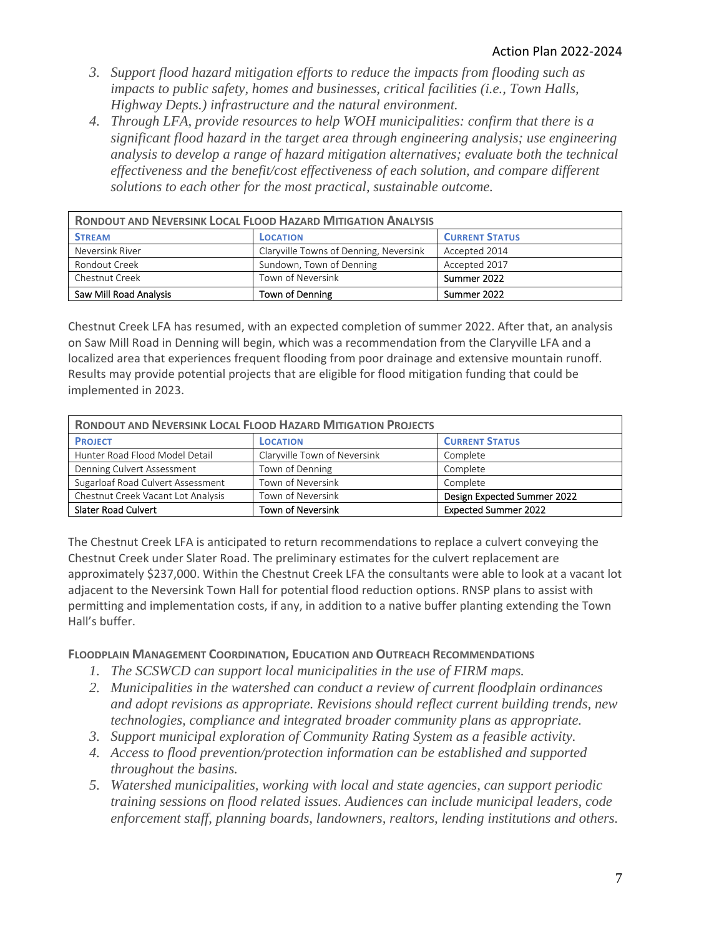- *3. Support flood hazard mitigation efforts to reduce the impacts from flooding such as impacts to public safety, homes and businesses, critical facilities (i.e., Town Halls, Highway Depts.) infrastructure and the natural environment.*
- *4. Through LFA, provide resources to help WOH municipalities: confirm that there is a significant flood hazard in the target area through engineering analysis; use engineering analysis to develop a range of hazard mitigation alternatives; evaluate both the technical effectiveness and the benefit/cost effectiveness of each solution, and compare different solutions to each other for the most practical, sustainable outcome.*

| <b>RONDOUT AND NEVERSINK LOCAL FLOOD HAZARD MITIGATION ANALYSIS</b> |                                        |                       |  |  |  |
|---------------------------------------------------------------------|----------------------------------------|-----------------------|--|--|--|
| <b>STREAM</b>                                                       | <b>LOCATION</b>                        | <b>CURRENT STATUS</b> |  |  |  |
| Neversink River                                                     | Claryville Towns of Denning, Neversink | Accepted 2014         |  |  |  |
| Rondout Creek                                                       | Sundown, Town of Denning               | Accepted 2017         |  |  |  |
| Chestnut Creek                                                      | Town of Neversink                      | Summer 2022           |  |  |  |
| Saw Mill Road Analysis                                              | Town of Denning                        | Summer 2022           |  |  |  |

Chestnut Creek LFA has resumed, with an expected completion of summer 2022. After that, an analysis on Saw Mill Road in Denning will begin, which was a recommendation from the Claryville LFA and a localized area that experiences frequent flooding from poor drainage and extensive mountain runoff. Results may provide potential projects that are eligible for flood mitigation funding that could be implemented in 2023.

| <b>RONDOUT AND NEVERSINK LOCAL FLOOD HAZARD MITIGATION PROJECTS</b> |                              |                             |  |  |  |
|---------------------------------------------------------------------|------------------------------|-----------------------------|--|--|--|
| <b>PROJECT</b>                                                      | <b>LOCATION</b>              | <b>CURRENT STATUS</b>       |  |  |  |
| Hunter Road Flood Model Detail                                      | Claryville Town of Neversink | Complete                    |  |  |  |
| Denning Culvert Assessment                                          | Town of Denning              | Complete                    |  |  |  |
| Sugarloaf Road Culvert Assessment                                   | Town of Neversink            | Complete                    |  |  |  |
| Chestnut Creek Vacant Lot Analysis                                  | Town of Neversink            | Design Expected Summer 2022 |  |  |  |
| <b>Slater Road Culvert</b>                                          | <b>Town of Neversink</b>     | <b>Expected Summer 2022</b> |  |  |  |

The Chestnut Creek LFA is anticipated to return recommendations to replace a culvert conveying the Chestnut Creek under Slater Road. The preliminary estimates for the culvert replacement are approximately \$237,000. Within the Chestnut Creek LFA the consultants were able to look at a vacant lot adjacent to the Neversink Town Hall for potential flood reduction options. RNSP plans to assist with permitting and implementation costs, if any, in addition to a native buffer planting extending the Town Hall's buffer.

### **FLOODPLAIN MANAGEMENT COORDINATION, EDUCATION AND OUTREACH RECOMMENDATIONS**

- *1. The SCSWCD can support local municipalities in the use of FIRM maps.*
- *2. Municipalities in the watershed can conduct a review of current floodplain ordinances and adopt revisions as appropriate. Revisions should reflect current building trends, new technologies, compliance and integrated broader community plans as appropriate.*
- *3. Support municipal exploration of Community Rating System as a feasible activity.*
- *4. Access to flood prevention/protection information can be established and supported throughout the basins.*
- *5. Watershed municipalities, working with local and state agencies, can support periodic training sessions on flood related issues. Audiences can include municipal leaders, code enforcement staff, planning boards, landowners, realtors, lending institutions and others.*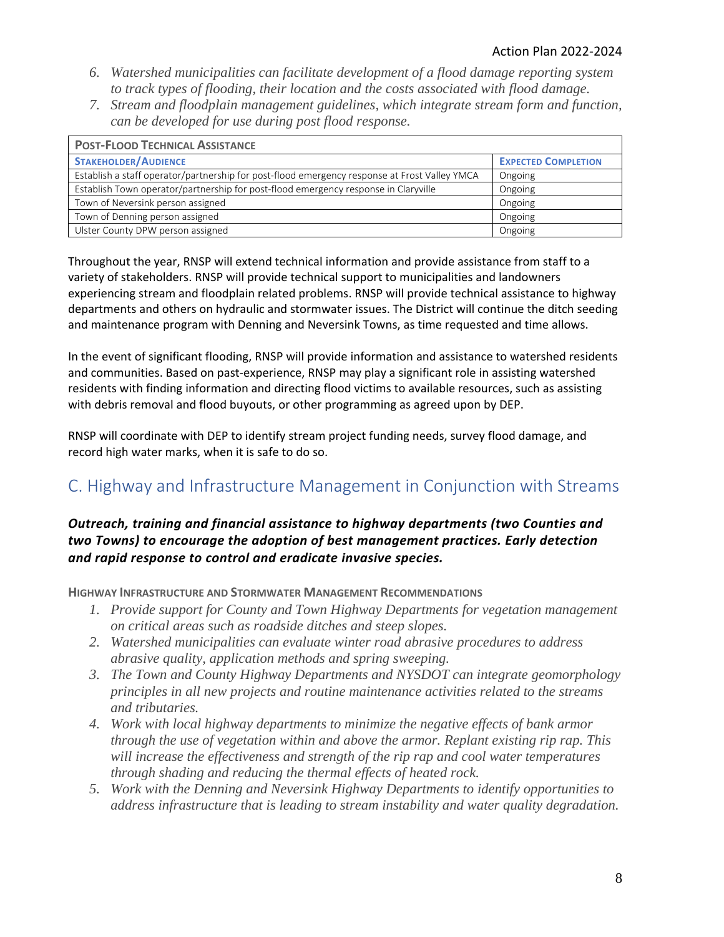- *6. Watershed municipalities can facilitate development of a flood damage reporting system to track types of flooding, their location and the costs associated with flood damage.*
- *7. Stream and floodplain management guidelines, which integrate stream form and function, can be developed for use during post flood response.*

| <b>POST-FLOOD TECHNICAL ASSISTANCE</b>                                                        |                            |  |  |  |  |
|-----------------------------------------------------------------------------------------------|----------------------------|--|--|--|--|
| <b>STAKEHOLDER/AUDIENCE</b>                                                                   | <b>EXPECTED COMPLETION</b> |  |  |  |  |
| Establish a staff operator/partnership for post-flood emergency response at Frost Valley YMCA | Ongoing                    |  |  |  |  |
| Establish Town operator/partnership for post-flood emergency response in Claryville           | Ongoing                    |  |  |  |  |
| Town of Neversink person assigned                                                             | Ongoing                    |  |  |  |  |
| Town of Denning person assigned                                                               | Ongoing                    |  |  |  |  |
| Ulster County DPW person assigned                                                             | Ongoing                    |  |  |  |  |

Throughout the year, RNSP will extend technical information and provide assistance from staff to a variety of stakeholders. RNSP will provide technical support to municipalities and landowners experiencing stream and floodplain related problems. RNSP will provide technical assistance to highway departments and others on hydraulic and stormwater issues. The District will continue the ditch seeding and maintenance program with Denning and Neversink Towns, as time requested and time allows.

In the event of significant flooding, RNSP will provide information and assistance to watershed residents and communities. Based on past-experience, RNSP may play a significant role in assisting watershed residents with finding information and directing flood victims to available resources, such as assisting with debris removal and flood buyouts, or other programming as agreed upon by DEP.

RNSP will coordinate with DEP to identify stream project funding needs, survey flood damage, and record high water marks, when it is safe to do so.

## C. Highway and Infrastructure Management in Conjunction with Streams

### *Outreach, training and financial assistance to highway departments (two Counties and two Towns) to encourage the adoption of best management practices. Early detection and rapid response to control and eradicate invasive species.*

**HIGHWAY INFRASTRUCTURE AND STORMWATER MANAGEMENT RECOMMENDATIONS**

- *1. Provide support for County and Town Highway Departments for vegetation management on critical areas such as roadside ditches and steep slopes.*
- *2. Watershed municipalities can evaluate winter road abrasive procedures to address abrasive quality, application methods and spring sweeping.*
- *3. The Town and County Highway Departments and NYSDOT can integrate geomorphology principles in all new projects and routine maintenance activities related to the streams and tributaries.*
- *4. Work with local highway departments to minimize the negative effects of bank armor through the use of vegetation within and above the armor. Replant existing rip rap. This will increase the effectiveness and strength of the rip rap and cool water temperatures through shading and reducing the thermal effects of heated rock.*
- *5. Work with the Denning and Neversink Highway Departments to identify opportunities to address infrastructure that is leading to stream instability and water quality degradation.*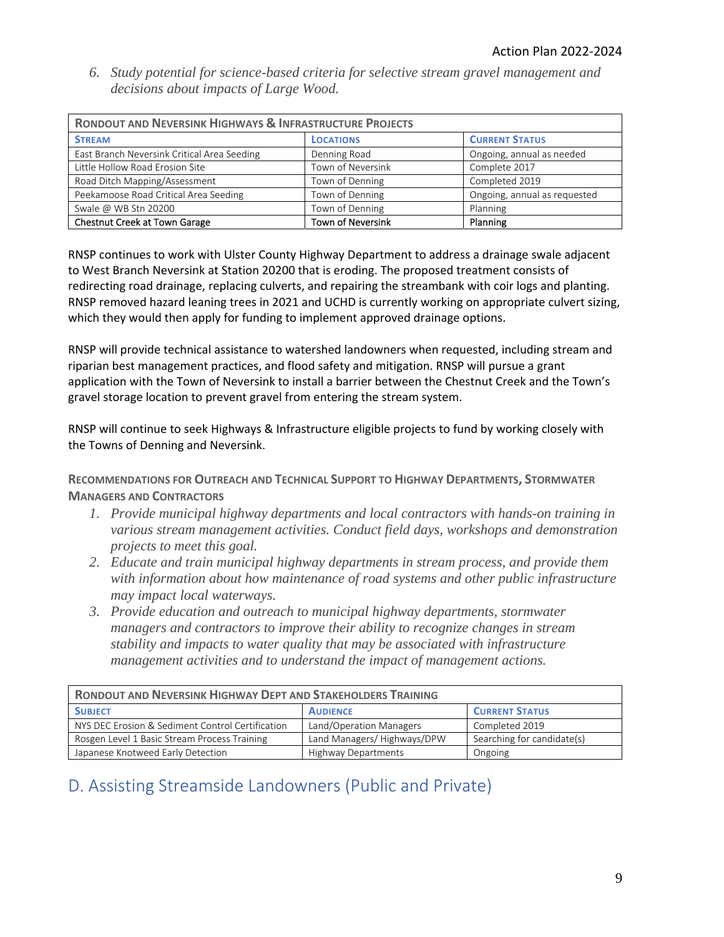*6. Study potential for science-based criteria for selective stream gravel management and decisions about impacts of Large Wood.* 

| <b>RONDOUT AND NEVERSINK HIGHWAYS &amp; INFRASTRUCTURE PROJECTS</b>   |                   |                              |  |  |  |
|-----------------------------------------------------------------------|-------------------|------------------------------|--|--|--|
| <b>STREAM</b>                                                         | <b>LOCATIONS</b>  | <b>CURRENT STATUS</b>        |  |  |  |
| East Branch Neversink Critical Area Seeding                           | Denning Road      | Ongoing, annual as needed    |  |  |  |
| Little Hollow Road Erosion Site                                       | Town of Neversink | Complete 2017                |  |  |  |
| Road Ditch Mapping/Assessment                                         | Town of Denning   | Completed 2019               |  |  |  |
| Peekamoose Road Critical Area Seeding                                 | Town of Denning   | Ongoing, annual as requested |  |  |  |
| Swale @ WB Stn 20200                                                  | Town of Denning   | Planning                     |  |  |  |
| Chestnut Creek at Town Garage<br><b>Town of Neversink</b><br>Planning |                   |                              |  |  |  |

RNSP continues to work with Ulster County Highway Department to address a drainage swale adjacent to West Branch Neversink at Station 20200 that is eroding. The proposed treatment consists of redirecting road drainage, replacing culverts, and repairing the streambank with coir logs and planting. RNSP removed hazard leaning trees in 2021 and UCHD is currently working on appropriate culvert sizing, which they would then apply for funding to implement approved drainage options.

RNSP will provide technical assistance to watershed landowners when requested, including stream and riparian best management practices, and flood safety and mitigation. RNSP will pursue a grant application with the Town of Neversink to install a barrier between the Chestnut Creek and the Town's gravel storage location to prevent gravel from entering the stream system.

RNSP will continue to seek Highways & Infrastructure eligible projects to fund by working closely with the Towns of Denning and Neversink.

**RECOMMENDATIONS FOR OUTREACH AND TECHNICAL SUPPORT TO HIGHWAY DEPARTMENTS, STORMWATER MANAGERS AND CONTRACTORS**

- *1. Provide municipal highway departments and local contractors with hands-on training in various stream management activities. Conduct field days, workshops and demonstration projects to meet this goal.*
- *2. Educate and train municipal highway departments in stream process, and provide them with information about how maintenance of road systems and other public infrastructure may impact local waterways.*
- *3. Provide education and outreach to municipal highway departments, stormwater managers and contractors to improve their ability to recognize changes in stream stability and impacts to water quality that may be associated with infrastructure management activities and to understand the impact of management actions.*

| <b>RONDOUT AND NEVERSINK HIGHWAY DEPT AND STAKEHOLDERS TRAINING</b>                                      |  |  |  |  |  |
|----------------------------------------------------------------------------------------------------------|--|--|--|--|--|
| <b>CURRENT STATUS</b><br><b>AUDIENCE</b><br><b>SUBJECT</b>                                               |  |  |  |  |  |
| NYS DEC Erosion & Sediment Control Certification<br>Completed 2019<br>Land/Operation Managers            |  |  |  |  |  |
| Searching for candidate(s)<br>Land Managers/Highways/DPW<br>Rosgen Level 1 Basic Stream Process Training |  |  |  |  |  |
| Japanese Knotweed Early Detection<br><b>Highway Departments</b><br>Ongoing                               |  |  |  |  |  |

# D. Assisting Streamside Landowners (Public and Private)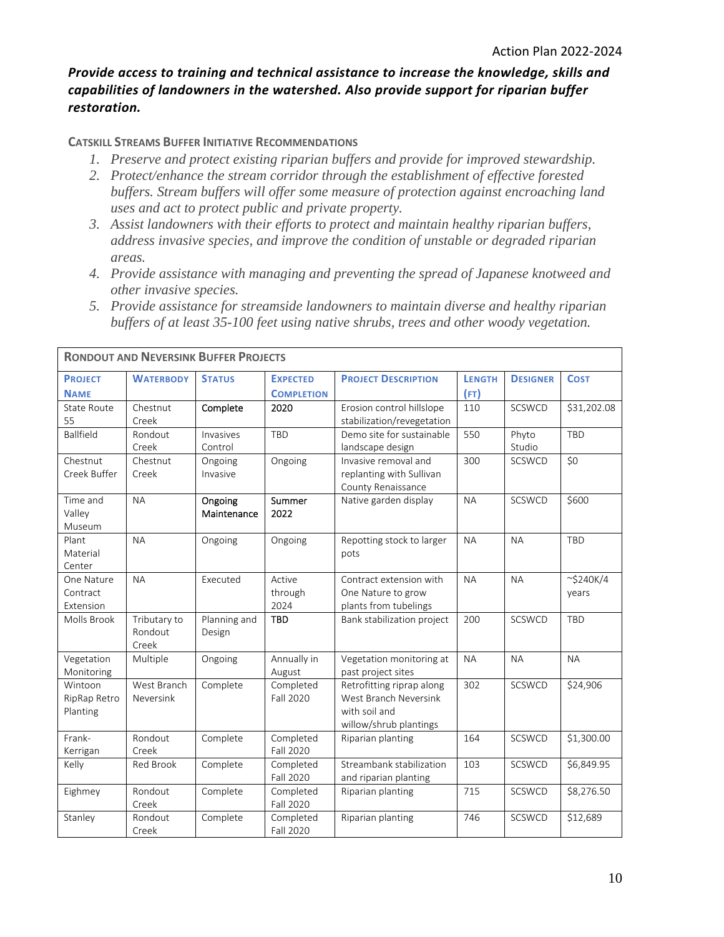### *Provide access to training and technical assistance to increase the knowledge, skills and capabilities of landowners in the watershed. Also provide support for riparian buffer restoration.*

#### **CATSKILL STREAMS BUFFER INITIATIVE RECOMMENDATIONS**

- *1. Preserve and protect existing riparian buffers and provide for improved stewardship.*
- *2. Protect/enhance the stream corridor through the establishment of effective forested buffers. Stream buffers will offer some measure of protection against encroaching land uses and act to protect public and private property.*
- *3. Assist landowners with their efforts to protect and maintain healthy riparian buffers, address invasive species, and improve the condition of unstable or degraded riparian areas.*
- *4. Provide assistance with managing and preventing the spread of Japanese knotweed and other invasive species.*
- *5. Provide assistance for streamside landowners to maintain diverse and healthy riparian buffers of at least 35-100 feet using native shrubs, trees and other woody vegetation.*

|                                     | <b>RONDOUT AND NEVERSINK BUFFER PROJECTS</b> |                        |                                      |                                                                                               |                       |                 |                          |
|-------------------------------------|----------------------------------------------|------------------------|--------------------------------------|-----------------------------------------------------------------------------------------------|-----------------------|-----------------|--------------------------|
| <b>PROJECT</b><br><b>NAME</b>       | <b>WATERBODY</b>                             | <b>STATUS</b>          | <b>EXPECTED</b><br><b>COMPLETION</b> | <b>PROJECT DESCRIPTION</b>                                                                    | <b>LENGTH</b><br>(FT) | <b>DESIGNER</b> | <b>COST</b>              |
| State Route<br>55                   | Chestnut<br>Creek                            | Complete               | 2020                                 | Erosion control hillslope<br>stabilization/revegetation                                       | 110                   | <b>SCSWCD</b>   | \$31,202.08              |
| Ballfield                           | Rondout<br>Creek                             | Invasives<br>Control   | TBD                                  | Demo site for sustainable<br>landscape design                                                 | 550                   | Phyto<br>Studio | <b>TBD</b>               |
| Chestnut<br>Creek Buffer            | Chestnut<br>Creek                            | Ongoing<br>Invasive    | Ongoing                              | Invasive removal and<br>replanting with Sullivan<br>County Renaissance                        | 300                   | SCSWCD          | \$0                      |
| Time and<br>Valley<br>Museum        | <b>NA</b>                                    | Ongoing<br>Maintenance | Summer<br>2022                       | Native garden display                                                                         | <b>NA</b>             | SCSWCD          | \$600                    |
| Plant<br>Material<br>Center         | <b>NA</b>                                    | Ongoing                | Ongoing                              | Repotting stock to larger<br>pots                                                             | <b>NA</b>             | <b>NA</b>       | TBD                      |
| One Nature<br>Contract<br>Extension | <b>NA</b>                                    | Executed               | Active<br>through<br>2024            | Contract extension with<br>One Nature to grow<br>plants from tubelings                        | <b>NA</b>             | <b>NA</b>       | $\sim$ \$240K/4<br>years |
| Molls Brook                         | Tributary to<br>Rondout<br>Creek             | Planning and<br>Design | <b>TBD</b>                           | Bank stabilization project                                                                    | 200                   | SCSWCD          | <b>TBD</b>               |
| Vegetation<br>Monitoring            | Multiple                                     | Ongoing                | Annually in<br>August                | Vegetation monitoring at<br>past project sites                                                | <b>NA</b>             | <b>NA</b>       | <b>NA</b>                |
| Wintoon<br>RipRap Retro<br>Planting | West Branch<br>Neversink                     | Complete               | Completed<br><b>Fall 2020</b>        | Retrofitting riprap along<br>West Branch Neversink<br>with soil and<br>willow/shrub plantings | 302                   | SCSWCD          | \$24,906                 |
| Frank-<br>Kerrigan                  | Rondout<br>Creek                             | Complete               | Completed<br>Fall 2020               | Riparian planting                                                                             | 164                   | SCSWCD          | \$1,300.00               |
| Kelly                               | <b>Red Brook</b>                             | Complete               | Completed<br>Fall 2020               | Streambank stabilization<br>and riparian planting                                             | 103                   | SCSWCD          | \$6,849.95               |
| Eighmey                             | Rondout<br>Creek                             | Complete               | Completed<br>Fall 2020               | Riparian planting                                                                             | 715                   | SCSWCD          | \$8,276.50               |
| Stanley                             | Rondout<br>Creek                             | Complete               | Completed<br>Fall 2020               | Riparian planting                                                                             | 746                   | SCSWCD          | \$12,689                 |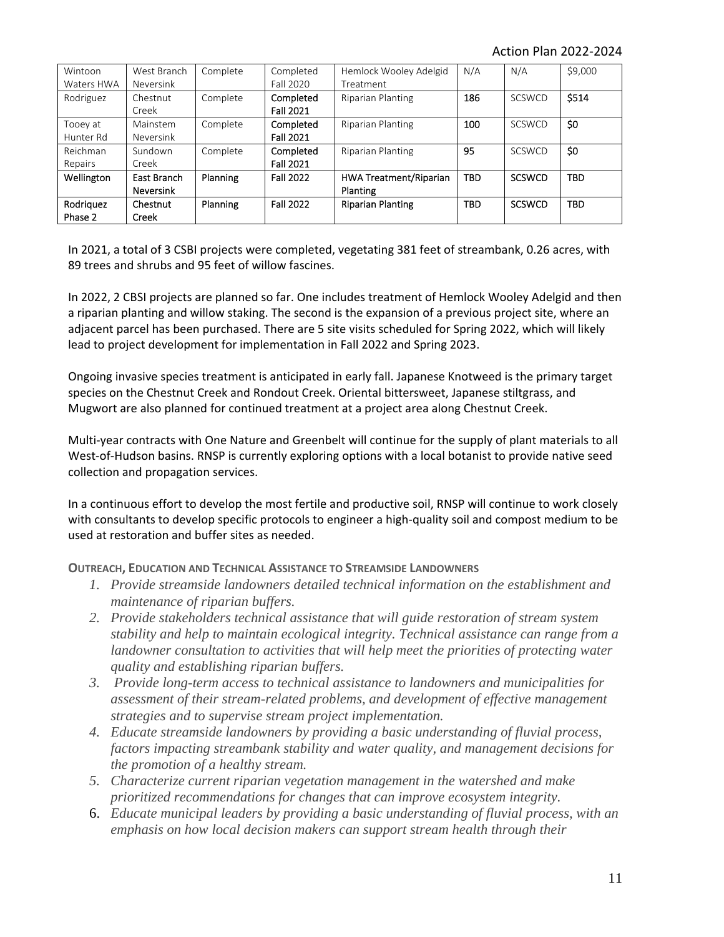Action Plan 2022‐2024

| Wintoon<br>Waters HWA | West Branch<br>Neversink        | Complete | Completed<br>Fall 2020        | Hemlock Wooley Adelgid<br>Treatment       | N/A        | N/A           | \$9,000    |
|-----------------------|---------------------------------|----------|-------------------------------|-------------------------------------------|------------|---------------|------------|
| Rodriguez             | Chestnut<br>Creek               | Complete | Completed<br><b>Fall 2021</b> | <b>Riparian Planting</b>                  | 186        | <b>SCSWCD</b> | \$514      |
| Tooey at<br>Hunter Rd | Mainstem<br><b>Neversink</b>    | Complete | Completed<br><b>Fall 2021</b> | Riparian Planting                         | 100        | <b>SCSWCD</b> | \$0        |
| Reichman<br>Repairs   | Sundown<br>Creek                | Complete | Completed<br><b>Fall 2021</b> | Riparian Planting                         | 95         | <b>SCSWCD</b> | \$0        |
| Wellington            | East Branch<br><b>Neversink</b> | Planning | <b>Fall 2022</b>              | <b>HWA Treatment/Riparian</b><br>Planting | <b>TBD</b> | <b>SCSWCD</b> | <b>TBD</b> |
| Rodriguez<br>Phase 2  | Chestnut<br>Creek               | Planning | <b>Fall 2022</b>              | <b>Riparian Planting</b>                  | <b>TBD</b> | <b>SCSWCD</b> | <b>TBD</b> |

In 2021, a total of 3 CSBI projects were completed, vegetating 381 feet of streambank, 0.26 acres, with 89 trees and shrubs and 95 feet of willow fascines.

In 2022, 2 CBSI projects are planned so far. One includes treatment of Hemlock Wooley Adelgid and then a riparian planting and willow staking. The second is the expansion of a previous project site, where an adjacent parcel has been purchased. There are 5 site visits scheduled for Spring 2022, which will likely lead to project development for implementation in Fall 2022 and Spring 2023.

Ongoing invasive species treatment is anticipated in early fall. Japanese Knotweed is the primary target species on the Chestnut Creek and Rondout Creek. Oriental bittersweet, Japanese stiltgrass, and Mugwort are also planned for continued treatment at a project area along Chestnut Creek.

Multi‐year contracts with One Nature and Greenbelt will continue for the supply of plant materials to all West-of-Hudson basins. RNSP is currently exploring options with a local botanist to provide native seed collection and propagation services.

In a continuous effort to develop the most fertile and productive soil, RNSP will continue to work closely with consultants to develop specific protocols to engineer a high‐quality soil and compost medium to be used at restoration and buffer sites as needed.

**OUTREACH, EDUCATION AND TECHNICAL ASSISTANCE TO STREAMSIDE LANDOWNERS**

- *1. Provide streamside landowners detailed technical information on the establishment and maintenance of riparian buffers.*
- *2. Provide stakeholders technical assistance that will guide restoration of stream system stability and help to maintain ecological integrity. Technical assistance can range from a*  landowner consultation to activities that will help meet the priorities of protecting water *quality and establishing riparian buffers.*
- *3. Provide long-term access to technical assistance to landowners and municipalities for assessment of their stream-related problems, and development of effective management strategies and to supervise stream project implementation.*
- *4. Educate streamside landowners by providing a basic understanding of fluvial process, factors impacting streambank stability and water quality, and management decisions for the promotion of a healthy stream.*
- *5. Characterize current riparian vegetation management in the watershed and make prioritized recommendations for changes that can improve ecosystem integrity.*
- 6. *Educate municipal leaders by providing a basic understanding of fluvial process, with an emphasis on how local decision makers can support stream health through their*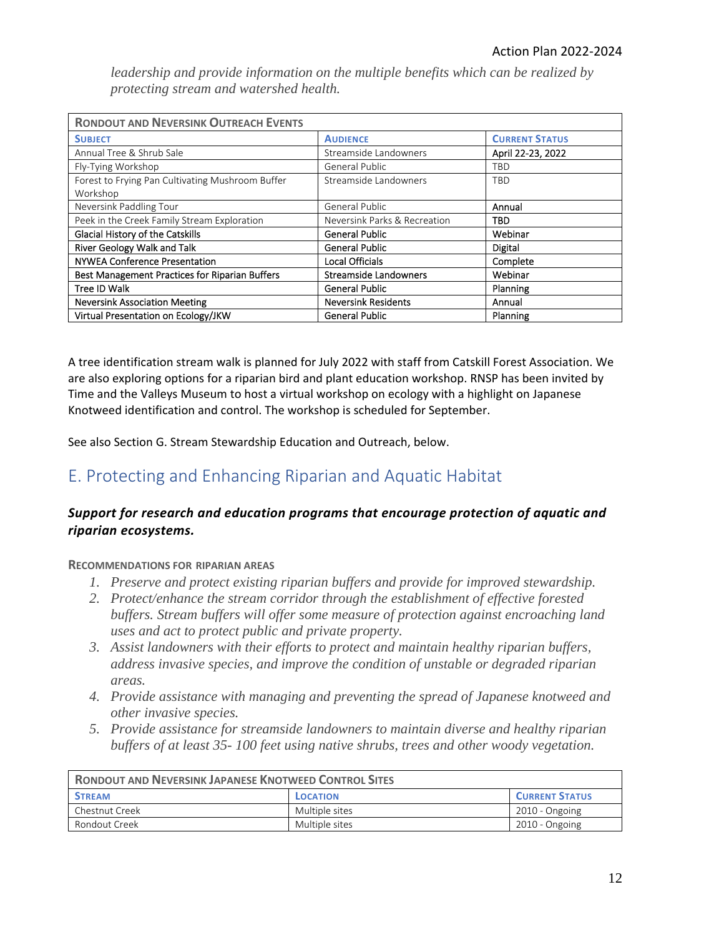*leadership and provide information on the multiple benefits which can be realized by protecting stream and watershed health.*

| <b>RONDOUT AND NEVERSINK OUTREACH EVENTS</b>          |                              |                       |  |  |  |  |
|-------------------------------------------------------|------------------------------|-----------------------|--|--|--|--|
| <b>SUBJECT</b>                                        | <b>AUDIENCE</b>              | <b>CURRENT STATUS</b> |  |  |  |  |
| Annual Tree & Shrub Sale                              | Streamside Landowners        | April 22-23, 2022     |  |  |  |  |
| Fly-Tying Workshop                                    | General Public               | TBD                   |  |  |  |  |
| Forest to Frying Pan Cultivating Mushroom Buffer      | Streamside Landowners        | TBD                   |  |  |  |  |
| Workshop                                              |                              |                       |  |  |  |  |
| Neversink Paddling Tour                               | General Public               | Annual                |  |  |  |  |
| Peek in the Creek Family Stream Exploration           | Neversink Parks & Recreation | TBD                   |  |  |  |  |
| Glacial History of the Catskills                      | <b>General Public</b>        | Webinar               |  |  |  |  |
| River Geology Walk and Talk                           | <b>General Public</b>        | Digital               |  |  |  |  |
| <b>NYWEA Conference Presentation</b>                  | <b>Local Officials</b>       | Complete              |  |  |  |  |
| <b>Best Management Practices for Riparian Buffers</b> | <b>Streamside Landowners</b> | Webinar               |  |  |  |  |
| Tree ID Walk                                          | <b>General Public</b>        | Planning              |  |  |  |  |
| <b>Neversink Association Meeting</b>                  | <b>Neversink Residents</b>   | Annual                |  |  |  |  |
| Virtual Presentation on Ecology/JKW                   | <b>General Public</b>        | Planning              |  |  |  |  |

A tree identification stream walk is planned for July 2022 with staff from Catskill Forest Association. We are also exploring options for a riparian bird and plant education workshop. RNSP has been invited by Time and the Valleys Museum to host a virtual workshop on ecology with a highlight on Japanese Knotweed identification and control. The workshop is scheduled for September.

See also Section G. Stream Stewardship Education and Outreach, below.

# E. Protecting and Enhancing Riparian and Aquatic Habitat

### *Support for research and education programs that encourage protection of aquatic and riparian ecosystems.*

### **RECOMMENDATIONS FOR RIPARIAN AREAS**

- *1. Preserve and protect existing riparian buffers and provide for improved stewardship.*
- *2. Protect/enhance the stream corridor through the establishment of effective forested buffers. Stream buffers will offer some measure of protection against encroaching land uses and act to protect public and private property.*
- *3. Assist landowners with their efforts to protect and maintain healthy riparian buffers, address invasive species, and improve the condition of unstable or degraded riparian areas.*
- *4. Provide assistance with managing and preventing the spread of Japanese knotweed and other invasive species.*
- *5. Provide assistance for streamside landowners to maintain diverse and healthy riparian buffers of at least 35- 100 feet using native shrubs, trees and other woody vegetation.*

| <b>RONDOUT AND NEVERSINK JAPANESE KNOTWEED CONTROL SITES</b> |                |                |  |  |
|--------------------------------------------------------------|----------------|----------------|--|--|
| <b>CURRENT STATUS</b><br><b>STREAM</b><br>LOCATION           |                |                |  |  |
| Chestnut Creek                                               | Multiple sites | 2010 - Ongoing |  |  |
| Rondout Creek<br>Multiple sites<br>2010 - Ongoing            |                |                |  |  |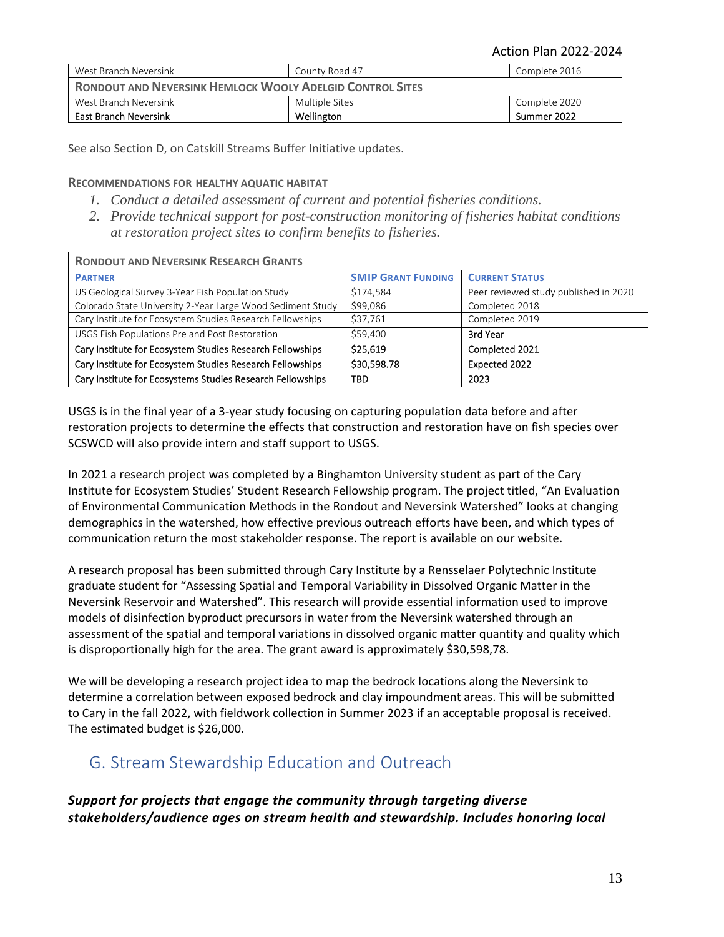| West Branch Neversink                                            | County Road 47 | Complete 2016 |  |  |
|------------------------------------------------------------------|----------------|---------------|--|--|
| <b>RONDOUT AND NEVERSINK HEMLOCK WOOLY ADELGID CONTROL SITES</b> |                |               |  |  |
| West Branch Neversink                                            | Multiple Sites | Complete 2020 |  |  |
| <b>East Branch Neversink</b>                                     | Wellington     | Summer 2022   |  |  |

See also Section D, on Catskill Streams Buffer Initiative updates.

#### **RECOMMENDATIONS FOR HEALTHY AQUATIC HABITAT**

- *1. Conduct a detailed assessment of current and potential fisheries conditions.*
- *2. Provide technical support for post-construction monitoring of fisheries habitat conditions at restoration project sites to confirm benefits to fisheries.*

| <b>RONDOUT AND NEVERSINK RESEARCH GRANTS</b>               |                           |                                       |  |  |  |
|------------------------------------------------------------|---------------------------|---------------------------------------|--|--|--|
| <b>PARTNER</b>                                             | <b>SMIP GRANT FUNDING</b> | <b>CURRENT STATUS</b>                 |  |  |  |
| US Geological Survey 3-Year Fish Population Study          | \$174,584                 | Peer reviewed study published in 2020 |  |  |  |
| Colorado State University 2-Year Large Wood Sediment Study | \$99,086                  | Completed 2018                        |  |  |  |
| Cary Institute for Ecosystem Studies Research Fellowships  | \$37,761                  | Completed 2019                        |  |  |  |
| USGS Fish Populations Pre and Post Restoration             | \$59,400                  | 3rd Year                              |  |  |  |
| Cary Institute for Ecosystem Studies Research Fellowships  | \$25,619                  | Completed 2021                        |  |  |  |
| Cary Institute for Ecosystem Studies Research Fellowships  | \$30,598.78               | Expected 2022                         |  |  |  |
| Cary Institute for Ecosystems Studies Research Fellowships | TBD.                      | 2023                                  |  |  |  |

USGS is in the final year of a 3‐year study focusing on capturing population data before and after restoration projects to determine the effects that construction and restoration have on fish species over SCSWCD will also provide intern and staff support to USGS.

In 2021 a research project was completed by a Binghamton University student as part of the Cary Institute for Ecosystem Studies' Student Research Fellowship program. The project titled, "An Evaluation of Environmental Communication Methods in the Rondout and Neversink Watershed" looks at changing demographics in the watershed, how effective previous outreach efforts have been, and which types of communication return the most stakeholder response. The report is available on our website.

A research proposal has been submitted through Cary Institute by a Rensselaer Polytechnic Institute graduate student for "Assessing Spatial and Temporal Variability in Dissolved Organic Matter in the Neversink Reservoir and Watershed". This research will provide essential information used to improve models of disinfection byproduct precursors in water from the Neversink watershed through an assessment of the spatial and temporal variations in dissolved organic matter quantity and quality which is disproportionally high for the area. The grant award is approximately \$30,598,78.

We will be developing a research project idea to map the bedrock locations along the Neversink to determine a correlation between exposed bedrock and clay impoundment areas. This will be submitted to Cary in the fall 2022, with fieldwork collection in Summer 2023 if an acceptable proposal is received. The estimated budget is \$26,000.

### G. Stream Stewardship Education and Outreach

*Support for projects that engage the community through targeting diverse stakeholders/audience ages on stream health and stewardship. Includes honoring local*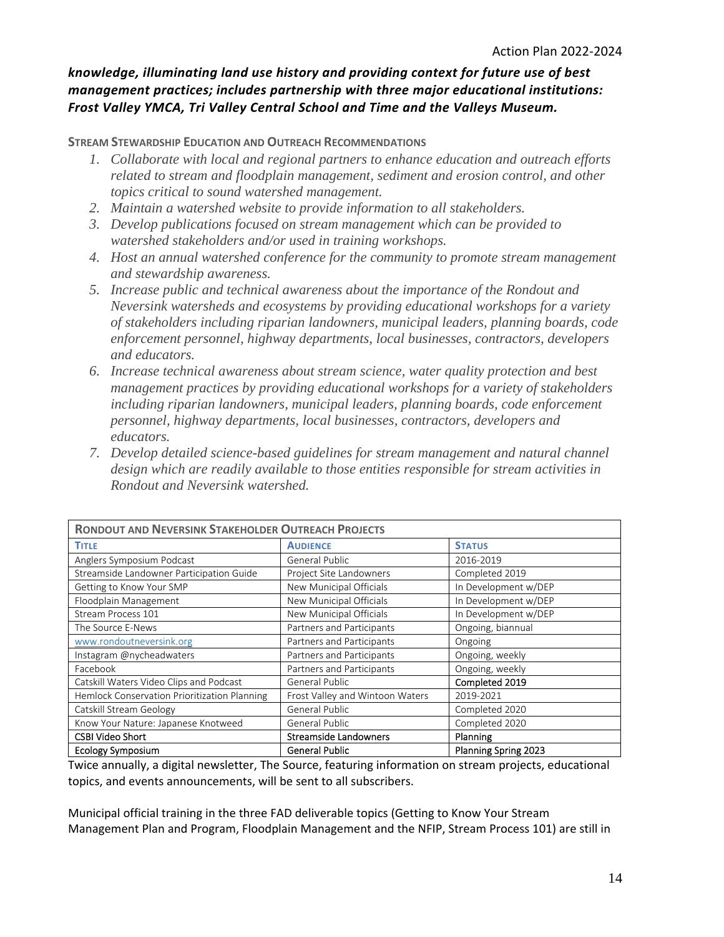### *knowledge, illuminating land use history and providing context for future use of best management practices; includes partnership with three major educational institutions: Frost Valley YMCA, Tri Valley Central School and Time and the Valleys Museum.*

**STREAM STEWARDSHIP EDUCATION AND OUTREACH RECOMMENDATIONS**

- *1. Collaborate with local and regional partners to enhance education and outreach efforts related to stream and floodplain management, sediment and erosion control, and other topics critical to sound watershed management.*
- *2. Maintain a watershed website to provide information to all stakeholders.*
- *3. Develop publications focused on stream management which can be provided to watershed stakeholders and/or used in training workshops.*
- *4. Host an annual watershed conference for the community to promote stream management and stewardship awareness.*
- *5. Increase public and technical awareness about the importance of the Rondout and Neversink watersheds and ecosystems by providing educational workshops for a variety of stakeholders including riparian landowners, municipal leaders, planning boards, code enforcement personnel, highway departments, local businesses, contractors, developers and educators.*
- *6. Increase technical awareness about stream science, water quality protection and best management practices by providing educational workshops for a variety of stakeholders including riparian landowners, municipal leaders, planning boards, code enforcement personnel, highway departments, local businesses, contractors, developers and educators.*
- *7. Develop detailed science-based guidelines for stream management and natural channel design which are readily available to those entities responsible for stream activities in Rondout and Neversink watershed.*

| <b>RONDOUT AND NEVERSINK STAKEHOLDER OUTREACH PROJECTS</b> |                                 |                             |  |  |
|------------------------------------------------------------|---------------------------------|-----------------------------|--|--|
| <b>TITLE</b>                                               | <b>AUDIENCE</b>                 | <b>STATUS</b>               |  |  |
| Anglers Symposium Podcast                                  | General Public                  | 2016-2019                   |  |  |
| Streamside Landowner Participation Guide                   | Project Site Landowners         | Completed 2019              |  |  |
| Getting to Know Your SMP                                   | New Municipal Officials         | In Development w/DEP        |  |  |
| Floodplain Management                                      | New Municipal Officials         | In Development w/DEP        |  |  |
| Stream Process 101                                         | New Municipal Officials         | In Development w/DEP        |  |  |
| The Source E-News                                          | Partners and Participants       | Ongoing, biannual           |  |  |
| www.rondoutneversink.org                                   | Partners and Participants       | Ongoing                     |  |  |
| Instagram @nycheadwaters                                   | Partners and Participants       | Ongoing, weekly             |  |  |
| Facebook                                                   | Partners and Participants       | Ongoing, weekly             |  |  |
| Catskill Waters Video Clips and Podcast                    | General Public                  | Completed 2019              |  |  |
| Hemlock Conservation Prioritization Planning               | Frost Valley and Wintoon Waters | 2019-2021                   |  |  |
| Catskill Stream Geology                                    | General Public                  | Completed 2020              |  |  |
| Know Your Nature: Japanese Knotweed                        | General Public                  | Completed 2020              |  |  |
| <b>CSBI Video Short</b>                                    | <b>Streamside Landowners</b>    | Planning                    |  |  |
| <b>Ecology Symposium</b>                                   | <b>General Public</b>           | <b>Planning Spring 2023</b> |  |  |

Twice annually, a digital newsletter, The Source, featuring information on stream projects, educational topics, and events announcements, will be sent to all subscribers.

Municipal official training in the three FAD deliverable topics (Getting to Know Your Stream Management Plan and Program, Floodplain Management and the NFIP, Stream Process 101) are still in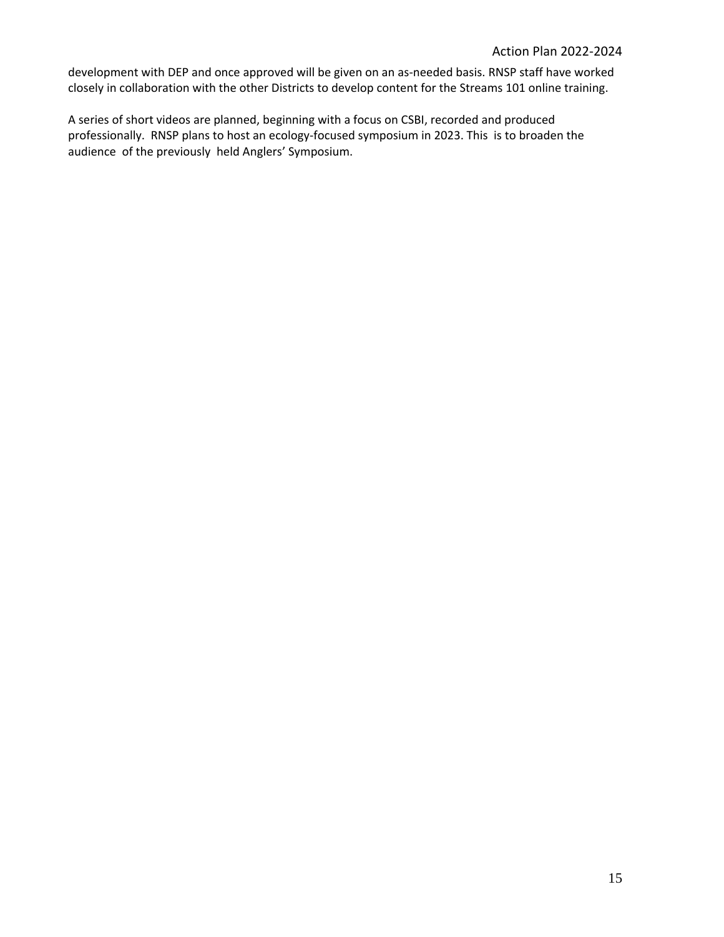development with DEP and once approved will be given on an as‐needed basis. RNSP staff have worked closely in collaboration with the other Districts to develop content for the Streams 101 online training.

A series of short videos are planned, beginning with a focus on CSBI, recorded and produced professionally. RNSP plans to host an ecology-focused symposium in 2023. This is to broaden the audience of the previously held Anglers' Symposium.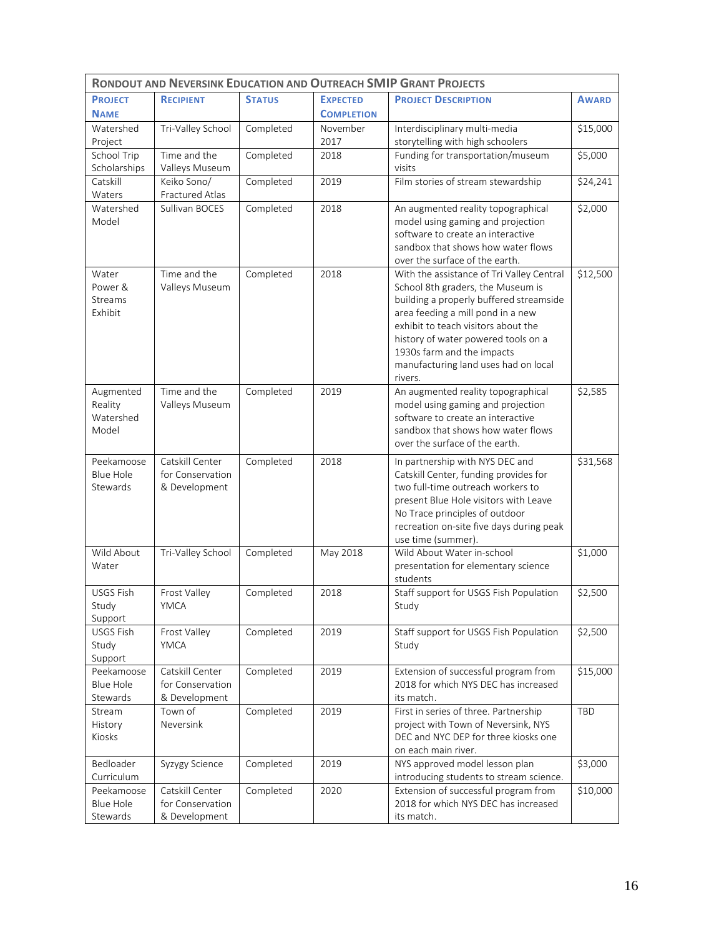| <b>RONDOUT AND NEVERSINK EDUCATION AND OUTREACH SMIP GRANT PROJECTS</b> |                                                      |               |                   |                                                                                                                                                                                                                                                                                                                               |              |
|-------------------------------------------------------------------------|------------------------------------------------------|---------------|-------------------|-------------------------------------------------------------------------------------------------------------------------------------------------------------------------------------------------------------------------------------------------------------------------------------------------------------------------------|--------------|
| <b>PROJECT</b>                                                          | <b>RECIPIENT</b>                                     | <b>STATUS</b> | <b>EXPECTED</b>   | <b>PROJECT DESCRIPTION</b>                                                                                                                                                                                                                                                                                                    | <b>AWARD</b> |
| <b>NAME</b>                                                             |                                                      |               | <b>COMPLETION</b> |                                                                                                                                                                                                                                                                                                                               |              |
| Watershed                                                               | Tri-Valley School                                    | Completed     | November          | Interdisciplinary multi-media                                                                                                                                                                                                                                                                                                 | \$15,000     |
| Project                                                                 |                                                      |               | 2017              | storytelling with high schoolers                                                                                                                                                                                                                                                                                              |              |
| School Trip<br>Scholarships                                             | Time and the<br>Valleys Museum                       | Completed     | 2018              | Funding for transportation/museum<br>visits                                                                                                                                                                                                                                                                                   | \$5,000      |
| Catskill<br>Waters                                                      | Keiko Sono/<br>Fractured Atlas                       | Completed     | 2019              | Film stories of stream stewardship                                                                                                                                                                                                                                                                                            | \$24,241     |
| Watershed<br>Model                                                      | Sullivan BOCES                                       | Completed     | 2018              | An augmented reality topographical<br>model using gaming and projection<br>software to create an interactive<br>sandbox that shows how water flows<br>over the surface of the earth.                                                                                                                                          | \$2,000      |
| Water<br>Power &<br>Streams<br>Exhibit                                  | Time and the<br>Valleys Museum                       | Completed     | 2018              | With the assistance of Tri Valley Central<br>School 8th graders, the Museum is<br>building a properly buffered streamside<br>area feeding a mill pond in a new<br>exhibit to teach visitors about the<br>history of water powered tools on a<br>1930s farm and the impacts<br>manufacturing land uses had on local<br>rivers. | \$12,500     |
| Augmented<br>Reality<br>Watershed<br>Model                              | Time and the<br>Valleys Museum                       | Completed     | 2019              | An augmented reality topographical<br>model using gaming and projection<br>software to create an interactive<br>sandbox that shows how water flows<br>over the surface of the earth.                                                                                                                                          | \$2,585      |
| Peekamoose<br><b>Blue Hole</b><br>Stewards                              | Catskill Center<br>for Conservation<br>& Development | Completed     | 2018              | In partnership with NYS DEC and<br>Catskill Center, funding provides for<br>two full-time outreach workers to<br>present Blue Hole visitors with Leave<br>No Trace principles of outdoor<br>recreation on-site five days during peak<br>use time (summer)                                                                     | \$31,568     |
| Wild About<br>Water                                                     | Tri-Valley School                                    | Completed     | May 2018          | Wild About Water in-school<br>presentation for elementary science<br>students                                                                                                                                                                                                                                                 | \$1,000      |
| <b>USGS Fish</b><br>Study<br>Support                                    | Frost Valley<br>YMCA                                 | Completed     | 2018              | Staff support for USGS Fish Population<br>Study                                                                                                                                                                                                                                                                               | \$2,500      |
| <b>USGS Fish</b><br>Study<br>Support                                    | Frost Valley<br>YMCA                                 | Completed     | 2019              | Staff support for USGS Fish Population<br>Study                                                                                                                                                                                                                                                                               | \$2,500      |
| Peekamoose<br><b>Blue Hole</b><br>Stewards                              | Catskill Center<br>for Conservation<br>& Development | Completed     | 2019              | Extension of successful program from<br>2018 for which NYS DEC has increased<br>its match.                                                                                                                                                                                                                                    | \$15,000     |
| Stream<br>History<br>Kiosks                                             | Town of<br>Neversink                                 | Completed     | 2019              | First in series of three. Partnership<br>project with Town of Neversink, NYS<br>DEC and NYC DEP for three kiosks one<br>on each main river.                                                                                                                                                                                   | TBD          |
| Bedloader<br>Curriculum                                                 | Syzygy Science                                       | Completed     | 2019              | NYS approved model lesson plan<br>introducing students to stream science.                                                                                                                                                                                                                                                     | \$3,000      |
| Peekamoose<br><b>Blue Hole</b><br>Stewards                              | Catskill Center<br>for Conservation<br>& Development | Completed     | 2020              | Extension of successful program from<br>2018 for which NYS DEC has increased<br>its match.                                                                                                                                                                                                                                    | \$10,000     |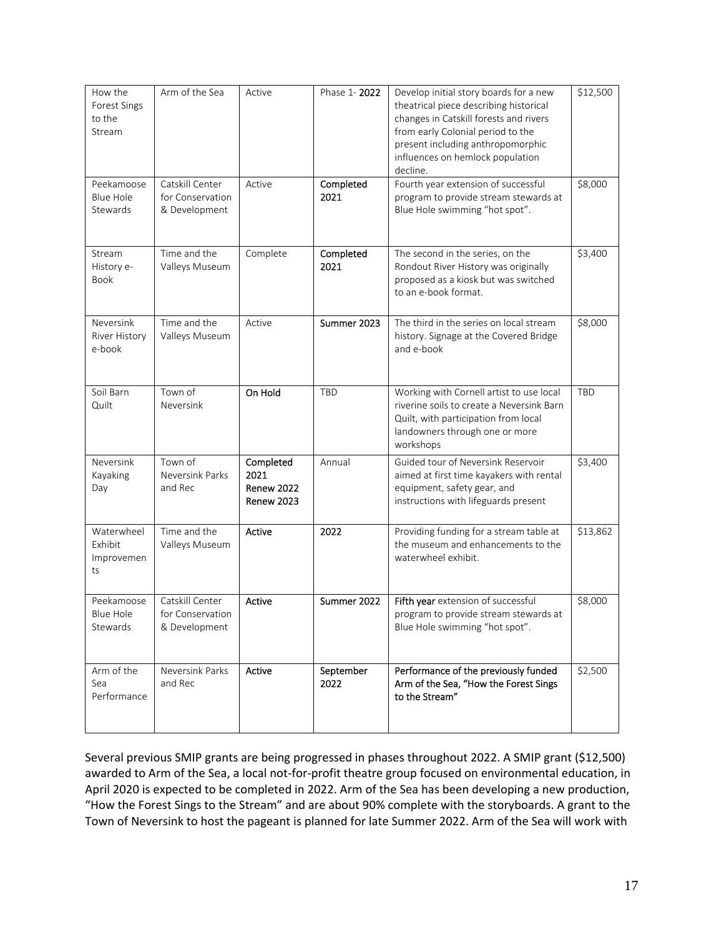| How the<br>Forest Sings<br>to the<br>Stream | Arm of the Sea                                       | Active                                               | Phase 1-2022      | Develop initial story boards for a new<br>theatrical piece describing historical<br>changes in Catskill forests and rivers<br>from early Colonial period to the<br>present including anthropomorphic<br>influences on hemlock population<br>decline. | \$12,500 |
|---------------------------------------------|------------------------------------------------------|------------------------------------------------------|-------------------|------------------------------------------------------------------------------------------------------------------------------------------------------------------------------------------------------------------------------------------------------|----------|
| Peekamoose<br>Blue Hole<br>Stewards         | Catskill Center<br>for Conservation<br>& Development | Active                                               | Completed<br>2021 | Fourth year extension of successful<br>program to provide stream stewards at<br>Blue Hole swimming "hot spot".                                                                                                                                       | \$8,000  |
| Stream<br>History e-<br>Book                | Time and the<br>Valleys Museum                       | Complete                                             | Completed<br>2021 | The second in the series, on the<br>Rondout River History was originally<br>proposed as a kiosk but was switched<br>to an e-book format.                                                                                                             | \$3,400  |
| Neversink<br>River History<br>e-book        | Time and the<br>Valleys Museum                       | Active                                               | Summer 2023       | The third in the series on local stream<br>history. Signage at the Covered Bridge<br>and e-book                                                                                                                                                      | \$8,000  |
| Soil Barn<br>Quilt                          | Town of<br>Neversink                                 | On Hold                                              | <b>TBD</b>        | Working with Cornell artist to use local<br>riverine soils to create a Neversink Barn<br>Quilt, with participation from local<br>landowners through one or more<br>workshops                                                                         | TBD      |
| Neversink<br>Kayaking<br>Day                | Town of<br>Neversink Parks<br>and Rec                | Completed<br>2021<br>Renew 2022<br><b>Renew 2023</b> | Annual            | Guided tour of Neversink Reservoir<br>aimed at first time kayakers with rental<br>equipment, safety gear, and<br>instructions with lifeguards present                                                                                                | \$3,400  |
| Waterwheel<br>Exhibit<br>Improvemen<br>ts   | Time and the<br>Valleys Museum                       | Active                                               | 2022              | Providing funding for a stream table at<br>the museum and enhancements to the<br>waterwheel exhibit.                                                                                                                                                 | \$13,862 |
| Peekamoose<br><b>Blue Hole</b><br>Stewards  | Catskill Center<br>for Conservation<br>& Development | Active                                               | Summer 2022       | Fifth year extension of successful<br>program to provide stream stewards at<br>Blue Hole swimming "hot spot".                                                                                                                                        | \$8,000  |
| Arm of the<br>Sea<br>Performance            | Neversink Parks<br>and Rec                           | Active                                               | September<br>2022 | Performance of the previously funded<br>Arm of the Sea, "How the Forest Sings<br>to the Stream"                                                                                                                                                      | \$2,500  |

Several previous SMIP grants are being progressed in phases throughout 2022. A SMIP grant (\$12,500) awarded to Arm of the Sea, a local not-for-profit theatre group focused on environmental education, in April 2020 is expected to be completed in 2022. Arm of the Sea has been developing a new production, "How the Forest Sings to the Stream" and are about 90% complete with the storyboards. A grant to the Town of Neversink to host the pageant is planned for late Summer 2022. Arm of the Sea will work with